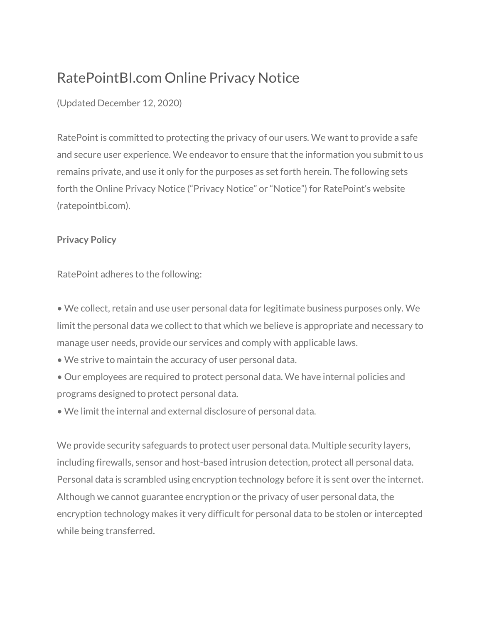# RatePointBI.com Online Privacy Notice

(Updated December 12, 2020)

RatePoint is committed to protecting the privacy of our users. We want to provide a safe and secure user experience. We endeavor to ensure that the information you submit to us remains private, and use it only for the purposes as set forth herein. The following sets forth the Online Privacy Notice ("Privacy Notice" or "Notice") for RatePoint's website (ratepointbi.com).

### **Privacy Policy**

RatePoint adheres to the following:

• We collect, retain and use user personal data for legitimate business purposes only. We limit the personal data we collect to that which we believe is appropriate and necessary to manage user needs, provide our services and comply with applicable laws.

- We strive to maintain the accuracy of user personal data.
- Our employees are required to protect personal data. We have internal policies and programs designed to protect personal data.
- We limit the internal and external disclosure of personal data.

We provide security safeguards to protect user personal data. Multiple security layers, including firewalls, sensor and host-based intrusion detection, protect all personal data. Personal data is scrambled using encryption technology before it is sent over the internet. Although we cannot guarantee encryption or the privacy of user personal data, the encryption technology makes it very difficult for personal data to be stolen or intercepted while being transferred.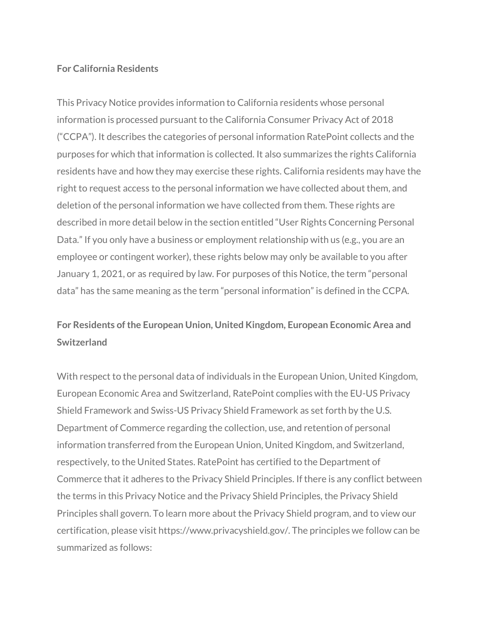### **For California Residents**

This Privacy Notice provides information to California residents whose personal information is processed pursuant to the California Consumer Privacy Act of 2018 ("CCPA"). It describes the categories of personal information RatePoint collects and the purposes for which that information is collected. It also summarizes the rights California residents have and how they may exercise these rights. California residents may have the right to request access to the personal information we have collected about them, and deletion of the personal information we have collected from them. These rights are described in more detail below in the section entitled "User Rights Concerning Personal Data." If you only have a business or employment relationship with us (e.g., you are an employee or contingent worker), these rights below may only be available to you after January 1, 2021, or as required by law. For purposes of this Notice, the term "personal data" has the same meaning as the term "personal information" is defined in the CCPA.

### **For Residents of the European Union, United Kingdom, European Economic Area and Switzerland**

With respect to the personal data of individuals in the European Union, United Kingdom, European Economic Area and Switzerland, RatePoint complies with the EU-US Privacy Shield Framework and Swiss-US Privacy Shield Framework as set forth by the U.S. Department of Commerce regarding the collection, use, and retention of personal information transferred from the European Union, United Kingdom, and Switzerland, respectively, to the United States. RatePoint has certified to the Department of Commerce that it adheres to the Privacy Shield Principles. If there is any conflict between the terms in this Privacy Notice and the Privacy Shield Principles, the Privacy Shield Principles shall govern. To learn more about the Privacy Shield program, and to view our certification, please visit https://www.privacyshield.gov/. The principles we follow can be summarized as follows: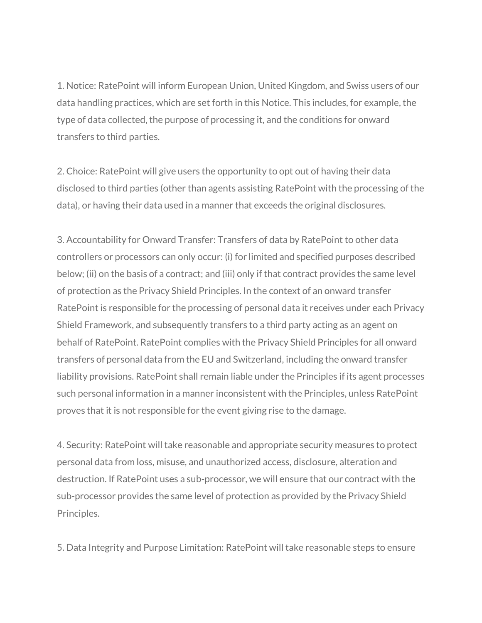1. Notice: RatePoint will inform European Union, United Kingdom, and Swiss users of our data handling practices, which are set forth in this Notice. This includes, for example, the type of data collected, the purpose of processing it, and the conditions for onward transfers to third parties.

2. Choice: RatePoint will give users the opportunity to opt out of having their data disclosed to third parties (other than agents assisting RatePoint with the processing of the data), or having their data used in a manner that exceeds the original disclosures.

3. Accountability for Onward Transfer: Transfers of data by RatePoint to other data controllers or processors can only occur: (i) for limited and specified purposes described below; (ii) on the basis of a contract; and (iii) only if that contract provides the same level of protection as the Privacy Shield Principles. In the context of an onward transfer RatePoint is responsible for the processing of personal data it receives under each Privacy Shield Framework, and subsequently transfers to a third party acting as an agent on behalf of RatePoint. RatePoint complies with the Privacy Shield Principles for all onward transfers of personal data from the EU and Switzerland, including the onward transfer liability provisions. RatePoint shall remain liable under the Principles if its agent processes such personal information in a manner inconsistent with the Principles, unless RatePoint proves that it is not responsible for the event giving rise to the damage.

4. Security: RatePoint will take reasonable and appropriate security measures to protect personal data from loss, misuse, and unauthorized access, disclosure, alteration and destruction. If RatePoint uses a sub-processor, we will ensure that our contract with the sub-processor provides the same level of protection as provided by the Privacy Shield Principles.

5. Data Integrity and Purpose Limitation: RatePoint will take reasonable steps to ensure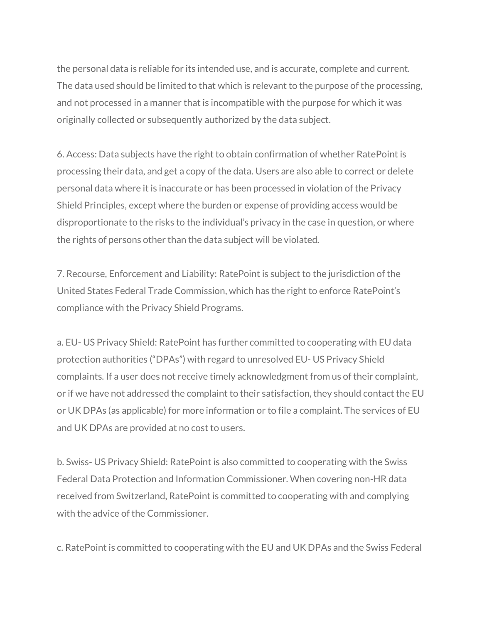the personal data is reliable for its intended use, and is accurate, complete and current. The data used should be limited to that which is relevant to the purpose of the processing, and not processed in a manner that is incompatible with the purpose for which it was originally collected or subsequently authorized by the data subject.

6. Access: Data subjects have the right to obtain confirmation of whether RatePoint is processing their data, and get a copy of the data. Users are also able to correct or delete personal data where it is inaccurate or has been processed in violation of the Privacy Shield Principles, except where the burden or expense of providing access would be disproportionate to the risks to the individual's privacy in the case in question, or where the rights of persons other than the data subject will be violated.

7. Recourse, Enforcement and Liability: RatePoint is subject to the jurisdiction of the United States Federal Trade Commission, which has the right to enforce RatePoint's compliance with the Privacy Shield Programs.

a. EU- US Privacy Shield: RatePoint has further committed to cooperating with EU data protection authorities ("DPAs") with regard to unresolved EU- US Privacy Shield complaints. If a user does not receive timely acknowledgment from us of their complaint, or if we have not addressed the complaint to their satisfaction, they should contact the EU or UK DPAs (as applicable) for more information or to file a complaint. The services of EU and UK DPAs are provided at no cost to users.

b. Swiss- US Privacy Shield: RatePoint is also committed to cooperating with the Swiss Federal Data Protection and Information Commissioner. When covering non-HR data received from Switzerland, RatePoint is committed to cooperating with and complying with the advice of the Commissioner

c. RatePoint is committed to cooperating with the EU and UK DPAs and the Swiss Federal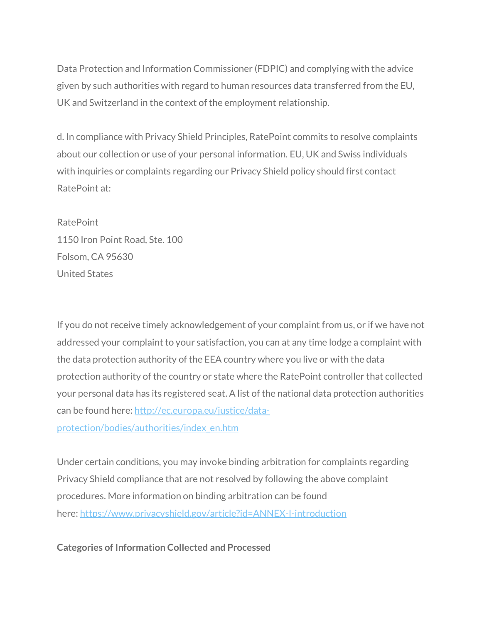Data Protection and Information Commissioner (FDPIC) and complying with the advice given by such authorities with regard to human resources data transferred from the EU, UK and Switzerland in the context of the employment relationship.

d. In compliance with Privacy Shield Principles, RatePoint commits to resolve complaints about our collection or use of your personal information. EU, UK and Swiss individuals with inquiries or complaints regarding our Privacy Shield policy should first contact RatePoint at:

RatePoint 1150 Iron Point Road, Ste. 100 Folsom, CA 95630 United States

If you do not receive timely acknowledgement of your complaint from us, or if we have not addressed your complaint to your satisfaction, you can at any time lodge a complaint with the data protection authority of the EEA country where you live or with the data protection authority of the country or state where the RatePoint controller that collected your personal data has its registered seat. A list of the national data protection authorities can be found here: http://ec.europa.eu/justice/dataprotection/bodies/authorities/index\_en.htm

Under certain conditions, you may invoke binding arbitration for complaints regarding Privacy Shield compliance that are not resolved by following the above complaint procedures. More information on binding arbitration can be found here: https://www.privacyshield.gov/article?id=ANNEX-I-introduction

**Categories of Information Collected and Processed**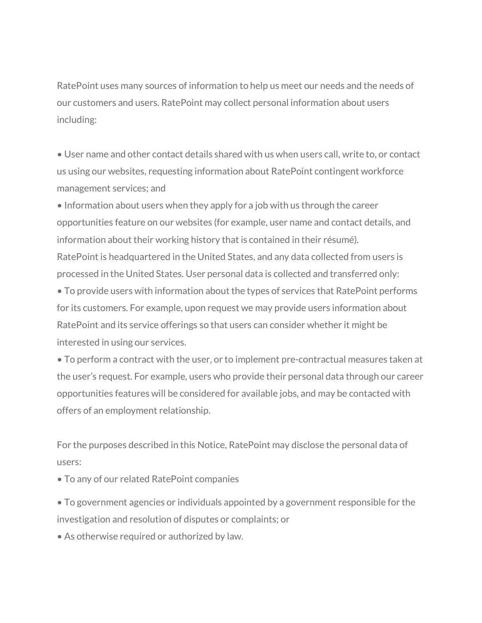RatePoint uses many sources of information to help us meet our needs and the needs of our customers and users. RatePoint may collect personal information about users including:

• User name and other contact details shared with us when users call, write to, or contact us using our websites, requesting information about RatePoint contingent workforce management services; and

• Information about users when they apply for a job with us through the career opportunities feature on our websites (for example, user name and contact details, and information about their working history that is contained in their résumé). RatePoint is headquartered in the United States, and any data collected from users is processed in the United States. User personal data is collected and transferred only:

• To provide users with information about the types of services that RatePoint performs for its customers. For example, upon request we may provide users information about RatePoint and its service offerings so that users can consider whether it might be interested in using our services.

• To perform a contract with the user, or to implement pre-contractual measures taken at the user's request. For example, users who provide their personal data through our career opportunities features will be considered for available jobs, and may be contacted with offers of an employment relationship.

For the purposes described in this Notice, RatePoint may disclose the personal data of users:

• To any of our related RatePoint companies

• To government agencies or individuals appointed by a government responsible for the investigation and resolution of disputes or complaints; or

• As otherwise required or authorized by law.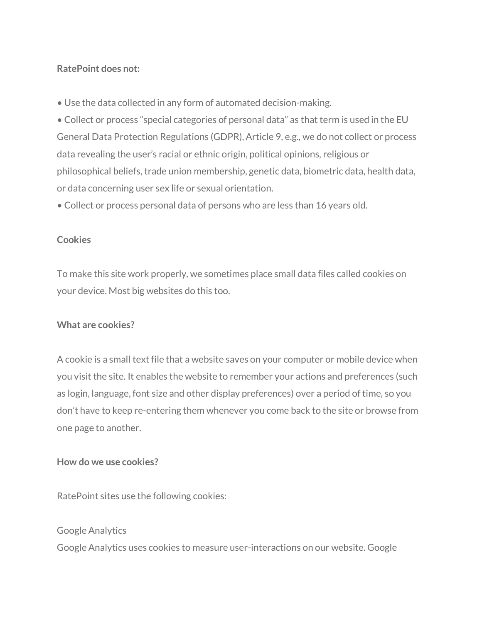### **RatePoint does not:**

• Use the data collected in any form of automated decision-making.

• Collect or process "special categories of personal data" as that term is used in the EU General Data Protection Regulations (GDPR), Article 9, e.g., we do not collect or process data revealing the user's racial or ethnic origin, political opinions, religious or philosophical beliefs, trade union membership, genetic data, biometric data, health data, or data concerning user sex life or sexual orientation.

• Collect or process personal data of persons who are less than 16 years old.

### **Cookies**

To make this site work properly, we sometimes place small data files called cookies on your device. Most big websites do this too.

### **What are cookies?**

A cookie is a small text file that a website saves on your computer or mobile device when you visit the site. It enables the website to remember your actions and preferences (such as login, language, font size and other display preferences) over a period of time, so you don't have to keep re-entering them whenever you come back to the site or browse from one page to another.

### **How do we use cookies?**

RatePoint sites use the following cookies:

## Google Analytics Google Analytics uses cookies to measure user-interactions on our website. Google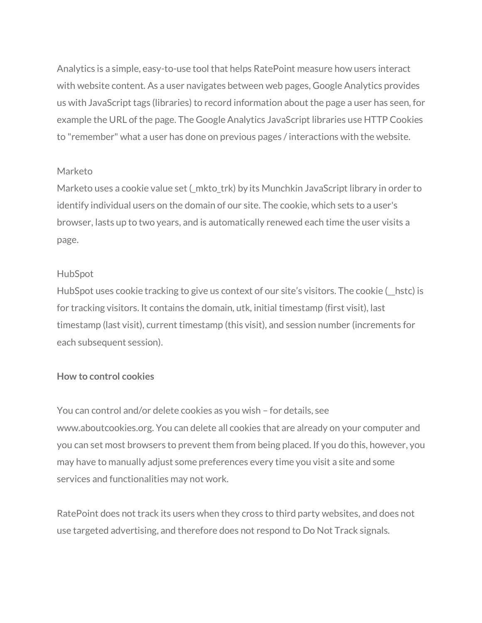Analytics is a simple, easy-to-use tool that helps RatePoint measure how users interact with website content. As a user navigates between web pages, Google Analytics provides us with JavaScript tags (libraries) to record information about the page a user has seen, for example the URL of the page. The Google Analytics JavaScript libraries use HTTP Cookies to "remember" what a user has done on previous pages / interactions with the website.

### Marketo

Marketo uses a cookie value set (\_mkto\_trk) by its Munchkin JavaScript library in order to identify individual users on the domain of our site. The cookie, which sets to a user's browser, lasts up to two years, and is automatically renewed each time the user visits a page.

### HubSpot

HubSpot uses cookie tracking to give us context of our site's visitors. The cookie (\_\_hstc) is for tracking visitors. It contains the domain, utk, initial timestamp (first visit), last timestamp (last visit), current timestamp (this visit), and session number (increments for each subsequent session).

### **How to control cookies**

You can control and/or delete cookies as you wish – for details, see www.aboutcookies.org. You can delete all cookies that are already on your computer and you can set most browsers to prevent them from being placed. If you do this, however, you may have to manually adjust some preferences every time you visit a site and some services and functionalities may not work.

RatePoint does not track its users when they cross to third party websites, and does not use targeted advertising, and therefore does not respond to Do Not Track signals.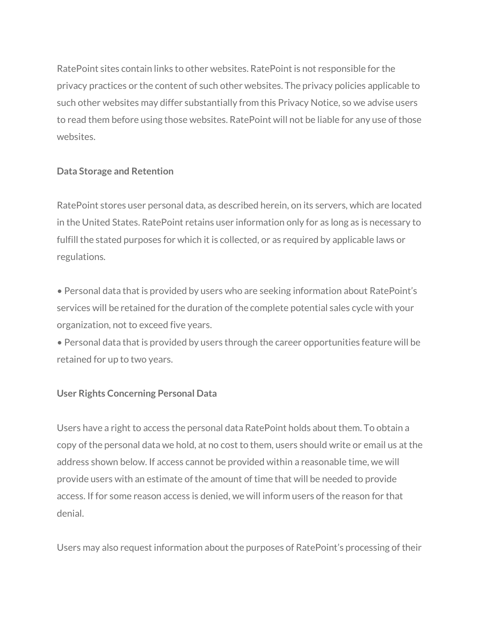RatePoint sites contain links to other websites. RatePoint is not responsible for the privacy practices or the content of such other websites. The privacy policies applicable to such other websites may differ substantially from this Privacy Notice, so we advise users to read them before using those websites. RatePoint will not be liable for any use of those websites.

### **Data Storage and Retention**

RatePoint stores user personal data, as described herein, on its servers, which are located in the United States. RatePoint retains user information only for as long as is necessary to fulfill the stated purposes for which it is collected, or as required by applicable laws or regulations.

• Personal data that is provided by users who are seeking information about RatePoint's services will be retained for the duration of the complete potential sales cycle with your organization, not to exceed five years.

• Personal data that is provided by users through the career opportunities feature will be retained for up to two years.

### **User Rights Concerning Personal Data**

Users have a right to access the personal data RatePoint holds about them. To obtain a copy of the personal data we hold, at no cost to them, users should write or email us at the address shown below. If access cannot be provided within a reasonable time, we will provide users with an estimate ofthe amount of time that will be needed to provide access. If for some reason access is denied, we will inform users of the reason for that denial.

Users may also request information about the purposes of RatePoint's processing of their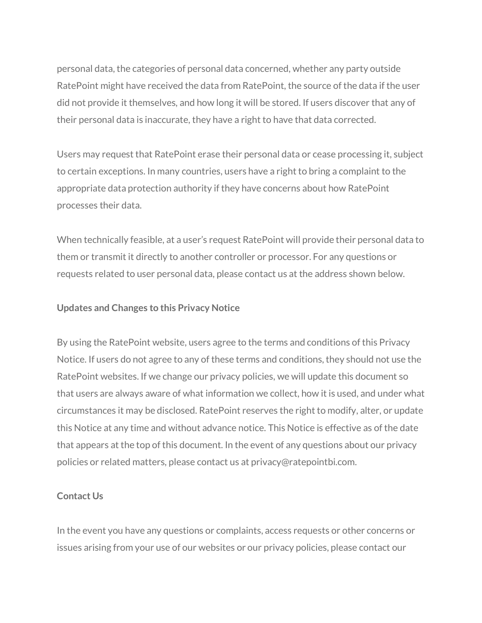personal data, the categories of personal data concerned, whether any party outside RatePoint might have received the data from RatePoint, the source of the data if the user did not provide it themselves, and how long it will be stored. If users discover that any of their personal data is inaccurate, they have a right to have that data corrected.

Users may request that RatePoint erase their personal data or cease processing it, subject to certain exceptions. In many countries, users have a right to bring a complaint to the appropriate data protection authority if they have concerns about how RatePoint processes their data.

When technically feasible, at a user's request RatePoint will provide their personal data to them or transmit it directly to another controller or processor. For any questions or requests related to user personal data, please contact us at the address shown below.

### **Updates and Changes to this Privacy Notice**

By using the RatePoint website, users agree to the terms and conditions of this Privacy Notice. If users do not agree to any of these terms and conditions, they should not use the RatePoint websites. If we change our privacy policies, we will update this document so that users are always aware of what information we collect, how it is used, and under what circumstances it may be disclosed. RatePoint reserves the right to modify, alter, or update this Notice at any time and without advance notice. This Notice is effective as of the date that appears at the top of this document. In the event of any questions about our privacy policies or related matters, please contact us at privacy@ratepointbi.com.

### **Contact Us**

In the event you have any questions or complaints, access requests or other concerns or issues arising from your use of our websites or our privacy policies, please contact our